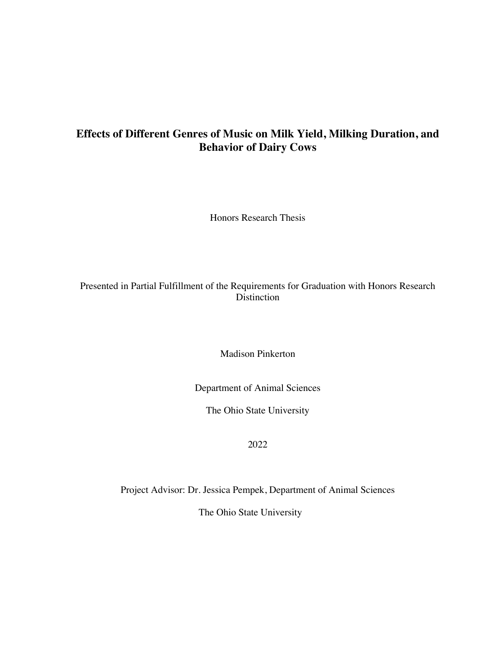# **Effects of Different Genres of Music on Milk Yield, Milking Duration, and Behavior of Dairy Cows**

Honors Research Thesis

# Presented in Partial Fulfillment of the Requirements for Graduation with Honors Research **Distinction**

Madison Pinkerton

Department of Animal Sciences

The Ohio State University

2022

Project Advisor: Dr. Jessica Pempek, Department of Animal Sciences

The Ohio State University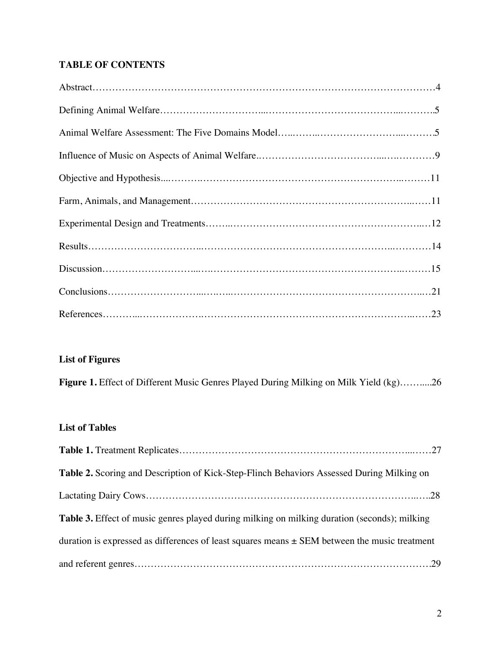# **TABLE OF CONTENTS**

# **List of Figures**

**Figure 1.** Effect of Different Music Genres Played During Milking on Milk Yield (kg)…….....26

# **List of Tables**

| <b>Table 2.</b> Scoring and Description of Kick-Step-Flinch Behaviors Assessed During Milking on  |
|---------------------------------------------------------------------------------------------------|
|                                                                                                   |
| Table 3. Effect of music genres played during milking on milking duration (seconds); milking      |
| duration is expressed as differences of least squares means $\pm$ SEM between the music treatment |
|                                                                                                   |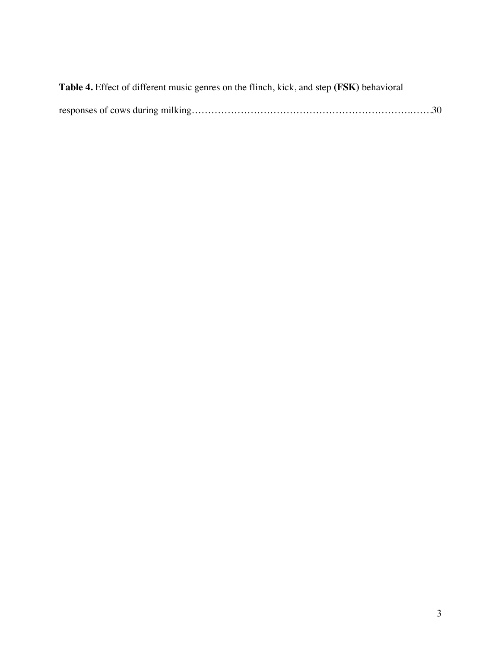| Table 4. Effect of different music genres on the flinch, kick, and step (FSK) behavioral |  |
|------------------------------------------------------------------------------------------|--|
|                                                                                          |  |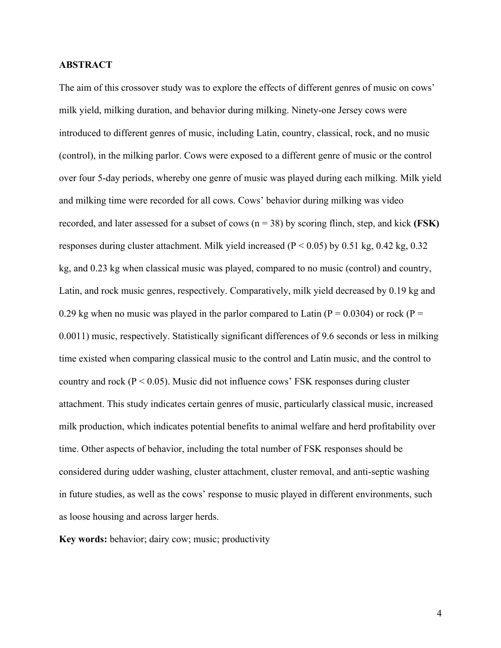# **ABSTRACT**

The aim of this crossover study was to explore the effects of different genres of music on cows' milk yield, milking duration, and behavior during milking. Ninety-one Jersey cows were introduced to different genres of music, including Latin, country, classical, rock, and no music (control), in the milking parlor. Cows were exposed to a different genre of music or the control over four 5-day periods, whereby one genre of music was played during each milking. Milk yield and milking time were recorded for all cows. Cows' behavior during milking was video recorded, and later assessed for a subset of cows (n = 38) by scoring flinch, step, and kick **(FSK)**  responses during cluster attachment. Milk yield increased ( $P < 0.05$ ) by 0.51 kg, 0.42 kg, 0.32 kg, and 0.23 kg when classical music was played, compared to no music (control) and country, Latin, and rock music genres, respectively. Comparatively, milk yield decreased by 0.19 kg and 0.29 kg when no music was played in the parlor compared to Latin ( $P = 0.0304$ ) or rock ( $P =$ 0.0011) music, respectively. Statistically significant differences of 9.6 seconds or less in milking time existed when comparing classical music to the control and Latin music, and the control to country and rock ( $P < 0.05$ ). Music did not influence cows' FSK responses during cluster attachment. This study indicates certain genres of music, particularly classical music, increased milk production, which indicates potential benefits to animal welfare and herd profitability over time. Other aspects of behavior, including the total number of FSK responses should be considered during udder washing, cluster attachment, cluster removal, and anti-septic washing in future studies, as well as the cows' response to music played in different environments, such as loose housing and across larger herds.

**Key words:** behavior; dairy cow; music; productivity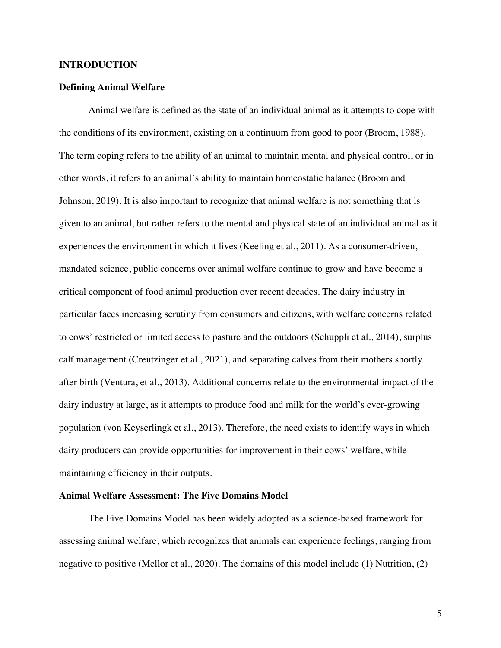# **INTRODUCTION**

#### **Defining Animal Welfare**

Animal welfare is defined as the state of an individual animal as it attempts to cope with the conditions of its environment, existing on a continuum from good to poor (Broom, 1988). The term coping refers to the ability of an animal to maintain mental and physical control, or in other words, it refers to an animal's ability to maintain homeostatic balance (Broom and Johnson, 2019). It is also important to recognize that animal welfare is not something that is given to an animal, but rather refers to the mental and physical state of an individual animal as it experiences the environment in which it lives (Keeling et al., 2011). As a consumer-driven, mandated science, public concerns over animal welfare continue to grow and have become a critical component of food animal production over recent decades. The dairy industry in particular faces increasing scrutiny from consumers and citizens, with welfare concerns related to cows' restricted or limited access to pasture and the outdoors (Schuppli et al., 2014), surplus calf management (Creutzinger et al., 2021), and separating calves from their mothers shortly after birth (Ventura, et al., 2013). Additional concerns relate to the environmental impact of the dairy industry at large, as it attempts to produce food and milk for the world's ever-growing population (von Keyserlingk et al., 2013). Therefore, the need exists to identify ways in which dairy producers can provide opportunities for improvement in their cows' welfare, while maintaining efficiency in their outputs.

# **Animal Welfare Assessment: The Five Domains Model**

The Five Domains Model has been widely adopted as a science-based framework for assessing animal welfare, which recognizes that animals can experience feelings, ranging from negative to positive (Mellor et al., 2020). The domains of this model include (1) Nutrition, (2)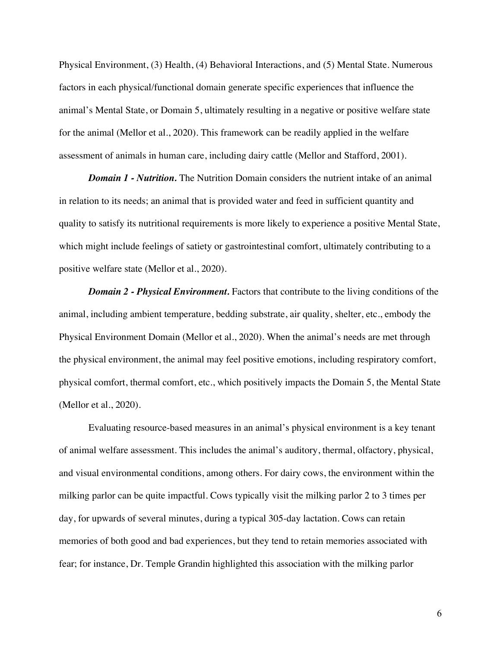Physical Environment, (3) Health, (4) Behavioral Interactions, and (5) Mental State. Numerous factors in each physical/functional domain generate specific experiences that influence the animal's Mental State, or Domain 5, ultimately resulting in a negative or positive welfare state for the animal (Mellor et al., 2020). This framework can be readily applied in the welfare assessment of animals in human care, including dairy cattle (Mellor and Stafford, 2001).

*Domain 1 - Nutrition.* The Nutrition Domain considers the nutrient intake of an animal in relation to its needs; an animal that is provided water and feed in sufficient quantity and quality to satisfy its nutritional requirements is more likely to experience a positive Mental State, which might include feelings of satiety or gastrointestinal comfort, ultimately contributing to a positive welfare state (Mellor et al., 2020).

*Domain 2 - Physical Environment.* Factors that contribute to the living conditions of the animal, including ambient temperature, bedding substrate, air quality, shelter, etc., embody the Physical Environment Domain (Mellor et al., 2020). When the animal's needs are met through the physical environment, the animal may feel positive emotions, including respiratory comfort, physical comfort, thermal comfort, etc., which positively impacts the Domain 5, the Mental State (Mellor et al., 2020).

Evaluating resource-based measures in an animal's physical environment is a key tenant of animal welfare assessment. This includes the animal's auditory, thermal, olfactory, physical, and visual environmental conditions, among others. For dairy cows, the environment within the milking parlor can be quite impactful. Cows typically visit the milking parlor 2 to 3 times per day, for upwards of several minutes, during a typical 305-day lactation. Cows can retain memories of both good and bad experiences, but they tend to retain memories associated with fear; for instance, Dr. Temple Grandin highlighted this association with the milking parlor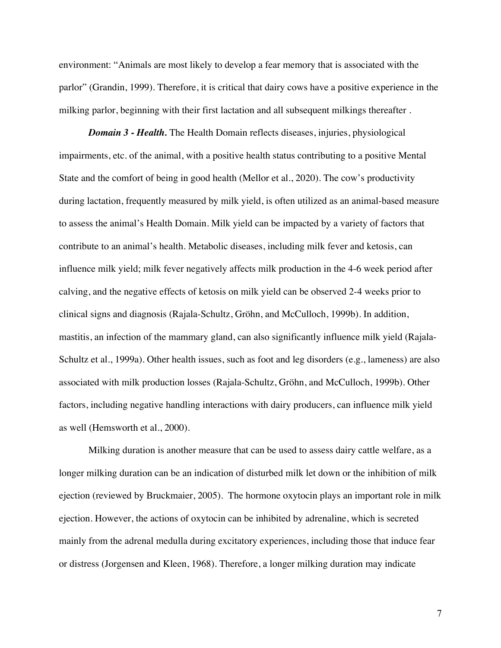environment: "Animals are most likely to develop a fear memory that is associated with the parlor" (Grandin, 1999). Therefore, it is critical that dairy cows have a positive experience in the milking parlor, beginning with their first lactation and all subsequent milkings thereafter .

*Domain 3 - Health.* The Health Domain reflects diseases, injuries, physiological impairments, etc. of the animal, with a positive health status contributing to a positive Mental State and the comfort of being in good health (Mellor et al., 2020). The cow's productivity during lactation, frequently measured by milk yield, is often utilized as an animal-based measure to assess the animal's Health Domain. Milk yield can be impacted by a variety of factors that contribute to an animal's health. Metabolic diseases, including milk fever and ketosis, can influence milk yield; milk fever negatively affects milk production in the 4-6 week period after calving, and the negative effects of ketosis on milk yield can be observed 2-4 weeks prior to clinical signs and diagnosis (Rajala-Schultz, Gröhn, and McCulloch, 1999b). In addition, mastitis, an infection of the mammary gland, can also significantly influence milk yield (Rajala-Schultz et al., 1999a). Other health issues, such as foot and leg disorders (e.g., lameness) are also associated with milk production losses (Rajala-Schultz, Gröhn, and McCulloch, 1999b). Other factors, including negative handling interactions with dairy producers, can influence milk yield as well (Hemsworth et al., 2000).

Milking duration is another measure that can be used to assess dairy cattle welfare, as a longer milking duration can be an indication of disturbed milk let down or the inhibition of milk ejection (reviewed by Bruckmaier, 2005). The hormone oxytocin plays an important role in milk ejection. However, the actions of oxytocin can be inhibited by adrenaline, which is secreted mainly from the adrenal medulla during excitatory experiences, including those that induce fear or distress (Jorgensen and Kleen, 1968). Therefore, a longer milking duration may indicate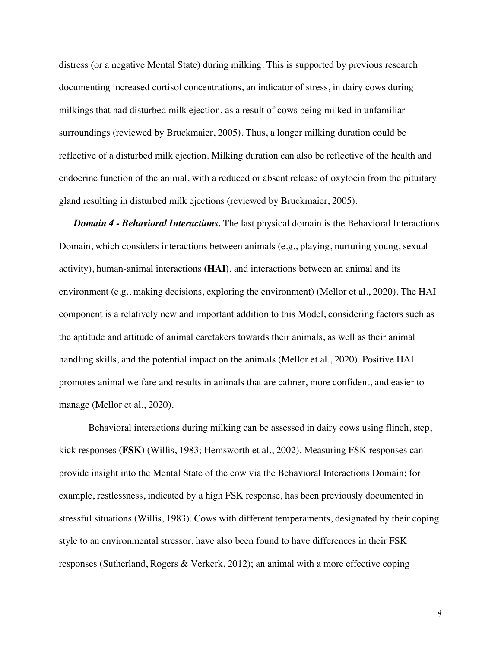distress (or a negative Mental State) during milking. This is supported by previous research documenting increased cortisol concentrations, an indicator of stress, in dairy cows during milkings that had disturbed milk ejection, as a result of cows being milked in unfamiliar surroundings (reviewed by Bruckmaier, 2005). Thus, a longer milking duration could be reflective of a disturbed milk ejection. Milking duration can also be reflective of the health and endocrine function of the animal, with a reduced or absent release of oxytocin from the pituitary gland resulting in disturbed milk ejections (reviewed by Bruckmaier, 2005).

*Domain 4 - Behavioral Interactions.* The last physical domain is the Behavioral Interactions Domain, which considers interactions between animals (e.g., playing, nurturing young, sexual activity), human-animal interactions **(HAI)**, and interactions between an animal and its environment (e.g., making decisions, exploring the environment) (Mellor et al., 2020). The HAI component is a relatively new and important addition to this Model, considering factors such as the aptitude and attitude of animal caretakers towards their animals, as well as their animal handling skills, and the potential impact on the animals (Mellor et al., 2020). Positive HAI promotes animal welfare and results in animals that are calmer, more confident, and easier to manage (Mellor et al., 2020).

Behavioral interactions during milking can be assessed in dairy cows using flinch, step, kick responses **(FSK)** (Willis, 1983; Hemsworth et al., 2002). Measuring FSK responses can provide insight into the Mental State of the cow via the Behavioral Interactions Domain; for example, restlessness, indicated by a high FSK response, has been previously documented in stressful situations (Willis, 1983). Cows with different temperaments, designated by their coping style to an environmental stressor, have also been found to have differences in their FSK responses (Sutherland, Rogers & Verkerk, 2012); an animal with a more effective coping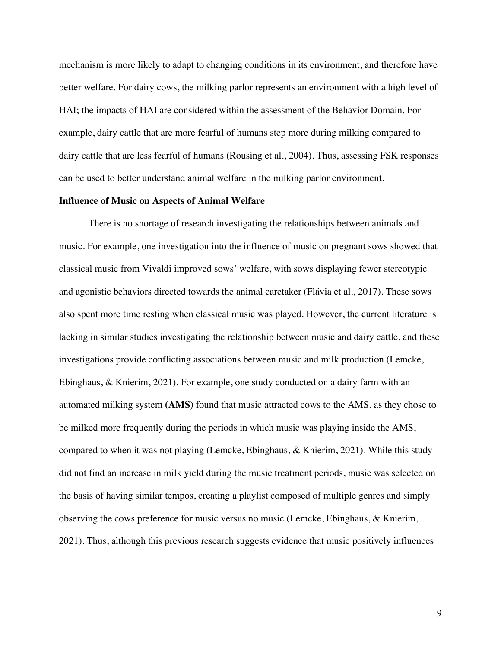mechanism is more likely to adapt to changing conditions in its environment, and therefore have better welfare. For dairy cows, the milking parlor represents an environment with a high level of HAI; the impacts of HAI are considered within the assessment of the Behavior Domain. For example, dairy cattle that are more fearful of humans step more during milking compared to dairy cattle that are less fearful of humans (Rousing et al., 2004). Thus, assessing FSK responses can be used to better understand animal welfare in the milking parlor environment.

#### **Influence of Music on Aspects of Animal Welfare**

There is no shortage of research investigating the relationships between animals and music. For example, one investigation into the influence of music on pregnant sows showed that classical music from Vivaldi improved sows' welfare, with sows displaying fewer stereotypic and agonistic behaviors directed towards the animal caretaker (Flávia et al., 2017). These sows also spent more time resting when classical music was played. However, the current literature is lacking in similar studies investigating the relationship between music and dairy cattle, and these investigations provide conflicting associations between music and milk production (Lemcke, Ebinghaus, & Knierim, 2021). For example, one study conducted on a dairy farm with an automated milking system **(AMS)** found that music attracted cows to the AMS, as they chose to be milked more frequently during the periods in which music was playing inside the AMS, compared to when it was not playing (Lemcke, Ebinghaus, & Knierim, 2021). While this study did not find an increase in milk yield during the music treatment periods, music was selected on the basis of having similar tempos, creating a playlist composed of multiple genres and simply observing the cows preference for music versus no music (Lemcke, Ebinghaus, & Knierim, 2021). Thus, although this previous research suggests evidence that music positively influences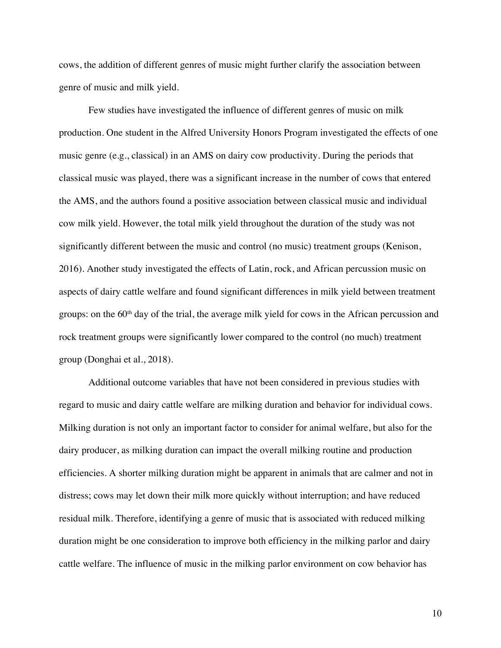cows, the addition of different genres of music might further clarify the association between genre of music and milk yield.

Few studies have investigated the influence of different genres of music on milk production. One student in the Alfred University Honors Program investigated the effects of one music genre (e.g., classical) in an AMS on dairy cow productivity. During the periods that classical music was played, there was a significant increase in the number of cows that entered the AMS, and the authors found a positive association between classical music and individual cow milk yield. However, the total milk yield throughout the duration of the study was not significantly different between the music and control (no music) treatment groups (Kenison, 2016). Another study investigated the effects of Latin, rock, and African percussion music on aspects of dairy cattle welfare and found significant differences in milk yield between treatment groups: on the  $60<sup>th</sup>$  day of the trial, the average milk yield for cows in the African percussion and rock treatment groups were significantly lower compared to the control (no much) treatment group (Donghai et al., 2018).

Additional outcome variables that have not been considered in previous studies with regard to music and dairy cattle welfare are milking duration and behavior for individual cows. Milking duration is not only an important factor to consider for animal welfare, but also for the dairy producer, as milking duration can impact the overall milking routine and production efficiencies. A shorter milking duration might be apparent in animals that are calmer and not in distress; cows may let down their milk more quickly without interruption; and have reduced residual milk. Therefore, identifying a genre of music that is associated with reduced milking duration might be one consideration to improve both efficiency in the milking parlor and dairy cattle welfare. The influence of music in the milking parlor environment on cow behavior has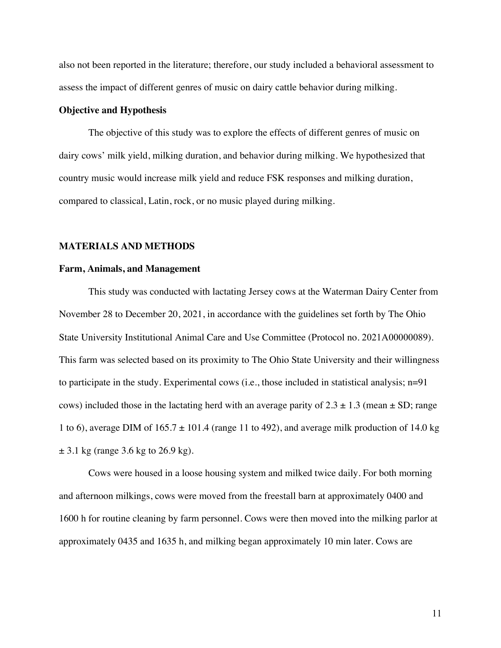also not been reported in the literature; therefore, our study included a behavioral assessment to assess the impact of different genres of music on dairy cattle behavior during milking.

## **Objective and Hypothesis**

The objective of this study was to explore the effects of different genres of music on dairy cows' milk yield, milking duration, and behavior during milking. We hypothesized that country music would increase milk yield and reduce FSK responses and milking duration, compared to classical, Latin, rock, or no music played during milking.

#### **MATERIALS AND METHODS**

#### **Farm, Animals, and Management**

This study was conducted with lactating Jersey cows at the Waterman Dairy Center from November 28 to December 20, 2021, in accordance with the guidelines set forth by The Ohio State University Institutional Animal Care and Use Committee (Protocol no. 2021A00000089). This farm was selected based on its proximity to The Ohio State University and their willingness to participate in the study. Experimental cows (i.e., those included in statistical analysis; n=91 cows) included those in the lactating herd with an average parity of  $2.3 \pm 1.3$  (mean  $\pm$  SD; range 1 to 6), average DIM of  $165.7 \pm 101.4$  (range 11 to 492), and average milk production of 14.0 kg  $\pm$  3.1 kg (range 3.6 kg to 26.9 kg).

Cows were housed in a loose housing system and milked twice daily. For both morning and afternoon milkings, cows were moved from the freestall barn at approximately 0400 and 1600 h for routine cleaning by farm personnel. Cows were then moved into the milking parlor at approximately 0435 and 1635 h, and milking began approximately 10 min later. Cows are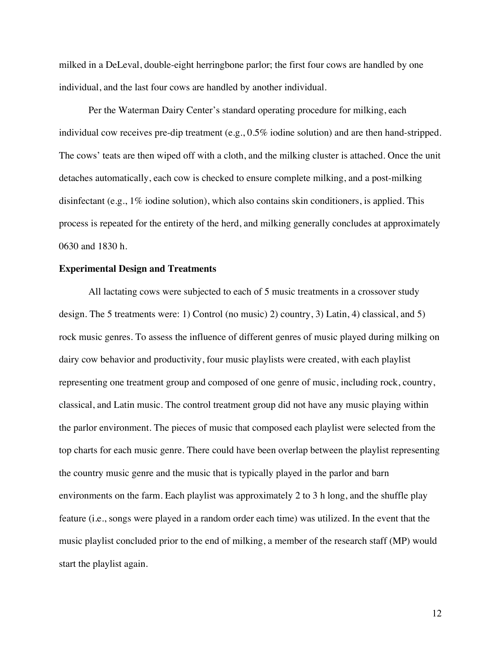milked in a DeLeval, double-eight herringbone parlor; the first four cows are handled by one individual, and the last four cows are handled by another individual.

Per the Waterman Dairy Center's standard operating procedure for milking, each individual cow receives pre-dip treatment (e.g., 0.5% iodine solution) and are then hand-stripped. The cows' teats are then wiped off with a cloth, and the milking cluster is attached. Once the unit detaches automatically, each cow is checked to ensure complete milking, and a post-milking disinfectant (e.g., 1% iodine solution), which also contains skin conditioners, is applied. This process is repeated for the entirety of the herd, and milking generally concludes at approximately 0630 and 1830 h.

### **Experimental Design and Treatments**

All lactating cows were subjected to each of 5 music treatments in a crossover study design. The 5 treatments were: 1) Control (no music) 2) country, 3) Latin, 4) classical, and 5) rock music genres. To assess the influence of different genres of music played during milking on dairy cow behavior and productivity, four music playlists were created, with each playlist representing one treatment group and composed of one genre of music, including rock, country, classical, and Latin music. The control treatment group did not have any music playing within the parlor environment. The pieces of music that composed each playlist were selected from the top charts for each music genre. There could have been overlap between the playlist representing the country music genre and the music that is typically played in the parlor and barn environments on the farm. Each playlist was approximately 2 to 3 h long, and the shuffle play feature (i.e., songs were played in a random order each time) was utilized. In the event that the music playlist concluded prior to the end of milking, a member of the research staff (MP) would start the playlist again.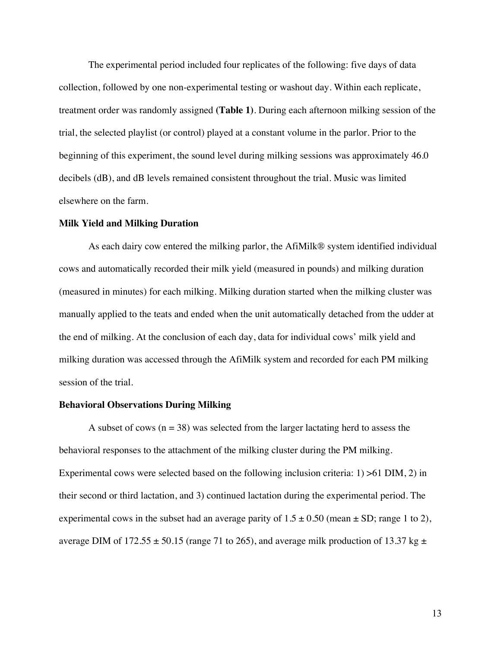The experimental period included four replicates of the following: five days of data collection, followed by one non-experimental testing or washout day. Within each replicate, treatment order was randomly assigned **(Table 1)**. During each afternoon milking session of the trial, the selected playlist (or control) played at a constant volume in the parlor. Prior to the beginning of this experiment, the sound level during milking sessions was approximately 46.0 decibels (dB), and dB levels remained consistent throughout the trial. Music was limited elsewhere on the farm.

#### **Milk Yield and Milking Duration**

As each dairy cow entered the milking parlor, the AfiMilk® system identified individual cows and automatically recorded their milk yield (measured in pounds) and milking duration (measured in minutes) for each milking. Milking duration started when the milking cluster was manually applied to the teats and ended when the unit automatically detached from the udder at the end of milking. At the conclusion of each day, data for individual cows' milk yield and milking duration was accessed through the AfiMilk system and recorded for each PM milking session of the trial.

# **Behavioral Observations During Milking**

A subset of cows  $(n = 38)$  was selected from the larger lactating herd to assess the behavioral responses to the attachment of the milking cluster during the PM milking. Experimental cows were selected based on the following inclusion criteria: 1) >61 DIM, 2) in their second or third lactation, and 3) continued lactation during the experimental period. The experimental cows in the subset had an average parity of  $1.5 \pm 0.50$  (mean  $\pm$  SD; range 1 to 2), average DIM of 172.55  $\pm$  50.15 (range 71 to 265), and average milk production of 13.37 kg  $\pm$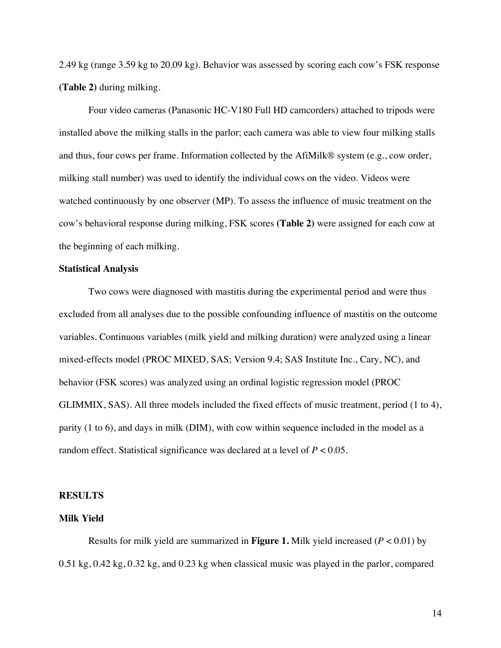2.49 kg (range 3.59 kg to 20.09 kg). Behavior was assessed by scoring each cow's FSK response **(Table 2)** during milking.

Four video cameras (Panasonic HC-V180 Full HD camcorders) attached to tripods were installed above the milking stalls in the parlor; each camera was able to view four milking stalls and thus, four cows per frame. Information collected by the AfiMilk® system (e.g., cow order, milking stall number) was used to identify the individual cows on the video. Videos were watched continuously by one observer (MP). To assess the influence of music treatment on the cow's behavioral response during milking, FSK scores **(Table 2)** were assigned for each cow at the beginning of each milking.

### **Statistical Analysis**

Two cows were diagnosed with mastitis during the experimental period and were thus excluded from all analyses due to the possible confounding influence of mastitis on the outcome variables. Continuous variables (milk yield and milking duration) were analyzed using a linear mixed-effects model (PROC MIXED, SAS; Version 9.4; SAS Institute Inc., Cary, NC), and behavior (FSK scores) was analyzed using an ordinal logistic regression model (PROC GLIMMIX, SAS). All three models included the fixed effects of music treatment, period (1 to 4), parity (1 to 6), and days in milk (DIM), with cow within sequence included in the model as a random effect. Statistical significance was declared at a level of  $P < 0.05$ .

#### **RESULTS**

# **Milk Yield**

Results for milk yield are summarized in **Figure 1.** Milk yield increased (*P* < 0.01) by 0.51 kg, 0.42 kg, 0.32 kg, and 0.23 kg when classical music was played in the parlor, compared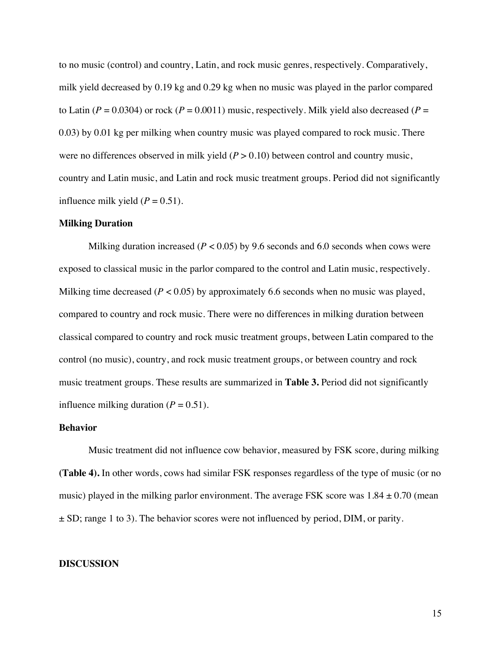to no music (control) and country, Latin, and rock music genres, respectively. Comparatively, milk yield decreased by 0.19 kg and 0.29 kg when no music was played in the parlor compared to Latin  $(P = 0.0304)$  or rock  $(P = 0.0011)$  music, respectively. Milk yield also decreased  $(P = 0.0304)$ 0.03) by 0.01 kg per milking when country music was played compared to rock music. There were no differences observed in milk yield  $(P > 0.10)$  between control and country music, country and Latin music, and Latin and rock music treatment groups. Period did not significantly influence milk yield  $(P = 0.51)$ .

#### **Milking Duration**

Milking duration increased ( $P < 0.05$ ) by 9.6 seconds and 6.0 seconds when cows were exposed to classical music in the parlor compared to the control and Latin music, respectively. Milking time decreased  $(P < 0.05)$  by approximately 6.6 seconds when no music was played, compared to country and rock music. There were no differences in milking duration between classical compared to country and rock music treatment groups, between Latin compared to the control (no music), country, and rock music treatment groups, or between country and rock music treatment groups. These results are summarized in **Table 3.** Period did not significantly influence milking duration  $(P = 0.51)$ .

# **Behavior**

Music treatment did not influence cow behavior, measured by FSK score, during milking **(Table 4).** In other words, cows had similar FSK responses regardless of the type of music (or no music) played in the milking parlor environment. The average FSK score was  $1.84 \pm 0.70$  (mean  $\pm$  SD; range 1 to 3). The behavior scores were not influenced by period, DIM, or parity.

#### **DISCUSSION**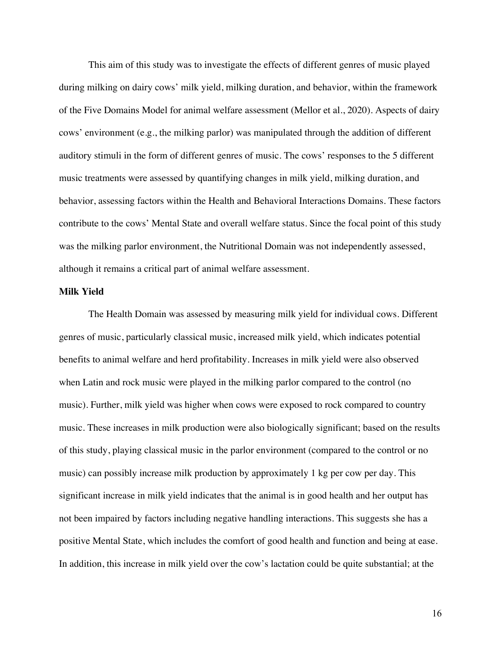This aim of this study was to investigate the effects of different genres of music played during milking on dairy cows' milk yield, milking duration, and behavior, within the framework of the Five Domains Model for animal welfare assessment (Mellor et al., 2020). Aspects of dairy cows' environment (e.g., the milking parlor) was manipulated through the addition of different auditory stimuli in the form of different genres of music. The cows' responses to the 5 different music treatments were assessed by quantifying changes in milk yield, milking duration, and behavior, assessing factors within the Health and Behavioral Interactions Domains. These factors contribute to the cows' Mental State and overall welfare status. Since the focal point of this study was the milking parlor environment, the Nutritional Domain was not independently assessed, although it remains a critical part of animal welfare assessment.

#### **Milk Yield**

The Health Domain was assessed by measuring milk yield for individual cows. Different genres of music, particularly classical music, increased milk yield, which indicates potential benefits to animal welfare and herd profitability. Increases in milk yield were also observed when Latin and rock music were played in the milking parlor compared to the control (no music). Further, milk yield was higher when cows were exposed to rock compared to country music. These increases in milk production were also biologically significant; based on the results of this study, playing classical music in the parlor environment (compared to the control or no music) can possibly increase milk production by approximately 1 kg per cow per day. This significant increase in milk yield indicates that the animal is in good health and her output has not been impaired by factors including negative handling interactions. This suggests she has a positive Mental State, which includes the comfort of good health and function and being at ease. In addition, this increase in milk yield over the cow's lactation could be quite substantial; at the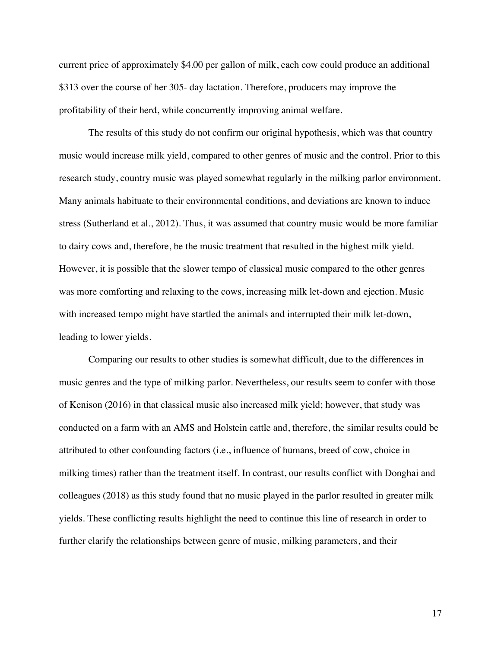current price of approximately \$4.00 per gallon of milk, each cow could produce an additional \$313 over the course of her 305- day lactation. Therefore, producers may improve the profitability of their herd, while concurrently improving animal welfare.

The results of this study do not confirm our original hypothesis, which was that country music would increase milk yield, compared to other genres of music and the control. Prior to this research study, country music was played somewhat regularly in the milking parlor environment. Many animals habituate to their environmental conditions, and deviations are known to induce stress (Sutherland et al., 2012). Thus, it was assumed that country music would be more familiar to dairy cows and, therefore, be the music treatment that resulted in the highest milk yield. However, it is possible that the slower tempo of classical music compared to the other genres was more comforting and relaxing to the cows, increasing milk let-down and ejection. Music with increased tempo might have startled the animals and interrupted their milk let-down, leading to lower yields.

Comparing our results to other studies is somewhat difficult, due to the differences in music genres and the type of milking parlor. Nevertheless, our results seem to confer with those of Kenison (2016) in that classical music also increased milk yield; however, that study was conducted on a farm with an AMS and Holstein cattle and, therefore, the similar results could be attributed to other confounding factors (i.e., influence of humans, breed of cow, choice in milking times) rather than the treatment itself. In contrast, our results conflict with Donghai and colleagues (2018) as this study found that no music played in the parlor resulted in greater milk yields. These conflicting results highlight the need to continue this line of research in order to further clarify the relationships between genre of music, milking parameters, and their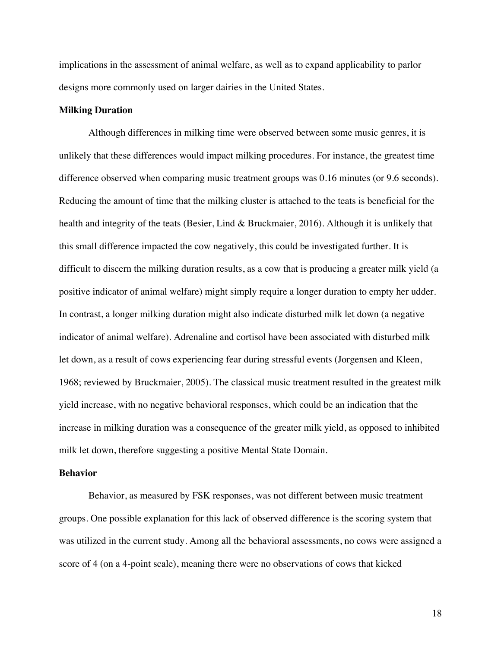implications in the assessment of animal welfare, as well as to expand applicability to parlor designs more commonly used on larger dairies in the United States.

## **Milking Duration**

Although differences in milking time were observed between some music genres, it is unlikely that these differences would impact milking procedures. For instance, the greatest time difference observed when comparing music treatment groups was 0.16 minutes (or 9.6 seconds). Reducing the amount of time that the milking cluster is attached to the teats is beneficial for the health and integrity of the teats (Besier, Lind & Bruckmaier, 2016). Although it is unlikely that this small difference impacted the cow negatively, this could be investigated further. It is difficult to discern the milking duration results, as a cow that is producing a greater milk yield (a positive indicator of animal welfare) might simply require a longer duration to empty her udder. In contrast, a longer milking duration might also indicate disturbed milk let down (a negative indicator of animal welfare). Adrenaline and cortisol have been associated with disturbed milk let down, as a result of cows experiencing fear during stressful events (Jorgensen and Kleen, 1968; reviewed by Bruckmaier, 2005). The classical music treatment resulted in the greatest milk yield increase, with no negative behavioral responses, which could be an indication that the increase in milking duration was a consequence of the greater milk yield, as opposed to inhibited milk let down, therefore suggesting a positive Mental State Domain.

# **Behavior**

Behavior, as measured by FSK responses, was not different between music treatment groups. One possible explanation for this lack of observed difference is the scoring system that was utilized in the current study. Among all the behavioral assessments, no cows were assigned a score of 4 (on a 4-point scale), meaning there were no observations of cows that kicked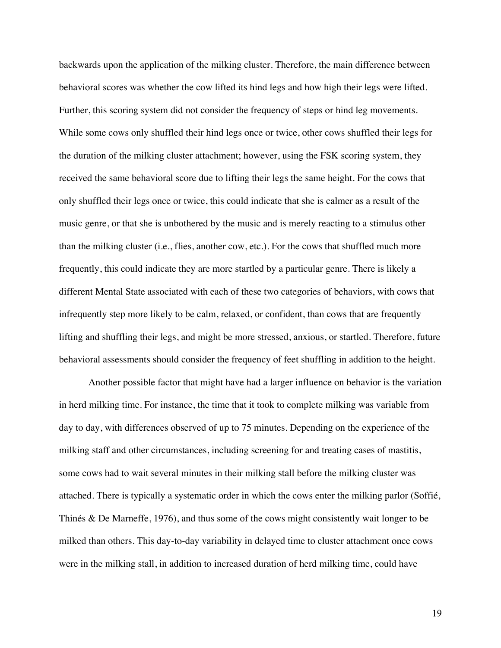backwards upon the application of the milking cluster. Therefore, the main difference between behavioral scores was whether the cow lifted its hind legs and how high their legs were lifted. Further, this scoring system did not consider the frequency of steps or hind leg movements. While some cows only shuffled their hind legs once or twice, other cows shuffled their legs for the duration of the milking cluster attachment; however, using the FSK scoring system, they received the same behavioral score due to lifting their legs the same height. For the cows that only shuffled their legs once or twice, this could indicate that she is calmer as a result of the music genre, or that she is unbothered by the music and is merely reacting to a stimulus other than the milking cluster (i.e., flies, another cow, etc.). For the cows that shuffled much more frequently, this could indicate they are more startled by a particular genre. There is likely a different Mental State associated with each of these two categories of behaviors, with cows that infrequently step more likely to be calm, relaxed, or confident, than cows that are frequently lifting and shuffling their legs, and might be more stressed, anxious, or startled. Therefore, future behavioral assessments should consider the frequency of feet shuffling in addition to the height.

Another possible factor that might have had a larger influence on behavior is the variation in herd milking time. For instance, the time that it took to complete milking was variable from day to day, with differences observed of up to 75 minutes. Depending on the experience of the milking staff and other circumstances, including screening for and treating cases of mastitis, some cows had to wait several minutes in their milking stall before the milking cluster was attached. There is typically a systematic order in which the cows enter the milking parlor (Soffié, Thinés & De Marneffe, 1976), and thus some of the cows might consistently wait longer to be milked than others. This day-to-day variability in delayed time to cluster attachment once cows were in the milking stall, in addition to increased duration of herd milking time, could have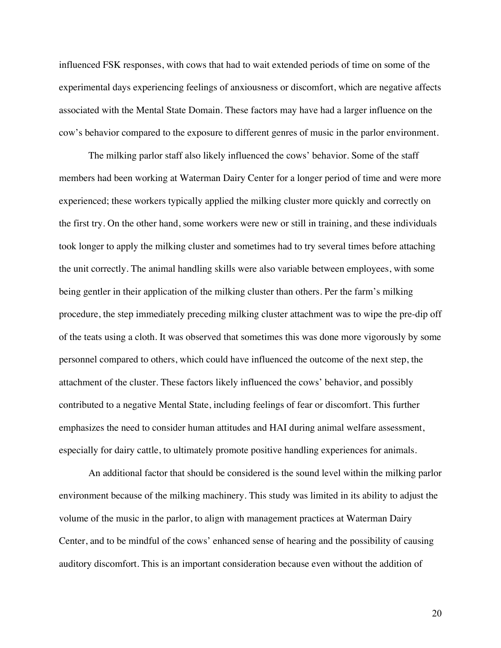influenced FSK responses, with cows that had to wait extended periods of time on some of the experimental days experiencing feelings of anxiousness or discomfort, which are negative affects associated with the Mental State Domain. These factors may have had a larger influence on the cow's behavior compared to the exposure to different genres of music in the parlor environment.

The milking parlor staff also likely influenced the cows' behavior. Some of the staff members had been working at Waterman Dairy Center for a longer period of time and were more experienced; these workers typically applied the milking cluster more quickly and correctly on the first try. On the other hand, some workers were new or still in training, and these individuals took longer to apply the milking cluster and sometimes had to try several times before attaching the unit correctly. The animal handling skills were also variable between employees, with some being gentler in their application of the milking cluster than others. Per the farm's milking procedure, the step immediately preceding milking cluster attachment was to wipe the pre-dip off of the teats using a cloth. It was observed that sometimes this was done more vigorously by some personnel compared to others, which could have influenced the outcome of the next step, the attachment of the cluster. These factors likely influenced the cows' behavior, and possibly contributed to a negative Mental State, including feelings of fear or discomfort. This further emphasizes the need to consider human attitudes and HAI during animal welfare assessment, especially for dairy cattle, to ultimately promote positive handling experiences for animals.

An additional factor that should be considered is the sound level within the milking parlor environment because of the milking machinery. This study was limited in its ability to adjust the volume of the music in the parlor, to align with management practices at Waterman Dairy Center, and to be mindful of the cows' enhanced sense of hearing and the possibility of causing auditory discomfort. This is an important consideration because even without the addition of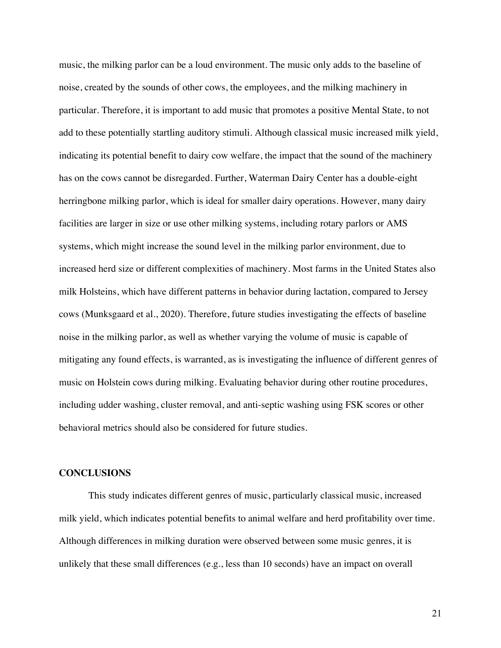music, the milking parlor can be a loud environment. The music only adds to the baseline of noise, created by the sounds of other cows, the employees, and the milking machinery in particular. Therefore, it is important to add music that promotes a positive Mental State, to not add to these potentially startling auditory stimuli. Although classical music increased milk yield, indicating its potential benefit to dairy cow welfare, the impact that the sound of the machinery has on the cows cannot be disregarded. Further, Waterman Dairy Center has a double-eight herringbone milking parlor, which is ideal for smaller dairy operations. However, many dairy facilities are larger in size or use other milking systems, including rotary parlors or AMS systems, which might increase the sound level in the milking parlor environment, due to increased herd size or different complexities of machinery. Most farms in the United States also milk Holsteins, which have different patterns in behavior during lactation, compared to Jersey cows (Munksgaard et al., 2020). Therefore, future studies investigating the effects of baseline noise in the milking parlor, as well as whether varying the volume of music is capable of mitigating any found effects, is warranted, as is investigating the influence of different genres of music on Holstein cows during milking. Evaluating behavior during other routine procedures, including udder washing, cluster removal, and anti-septic washing using FSK scores or other behavioral metrics should also be considered for future studies.

#### **CONCLUSIONS**

This study indicates different genres of music, particularly classical music, increased milk yield, which indicates potential benefits to animal welfare and herd profitability over time. Although differences in milking duration were observed between some music genres, it is unlikely that these small differences (e.g., less than 10 seconds) have an impact on overall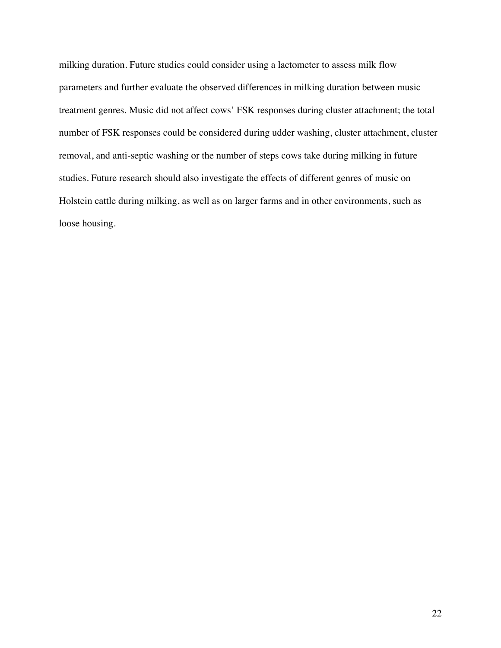milking duration. Future studies could consider using a lactometer to assess milk flow parameters and further evaluate the observed differences in milking duration between music treatment genres. Music did not affect cows' FSK responses during cluster attachment; the total number of FSK responses could be considered during udder washing, cluster attachment, cluster removal, and anti-septic washing or the number of steps cows take during milking in future studies. Future research should also investigate the effects of different genres of music on Holstein cattle during milking, as well as on larger farms and in other environments, such as loose housing.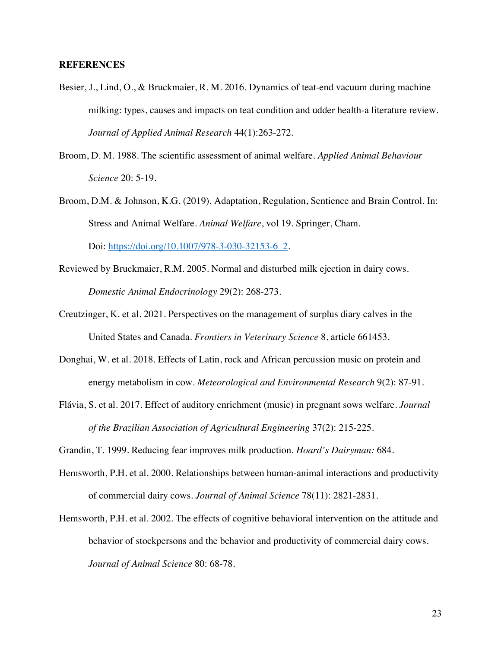### **REFERENCES**

- Besier, J., Lind, O., & Bruckmaier, R. M. 2016. Dynamics of teat-end vacuum during machine milking: types, causes and impacts on teat condition and udder health-a literature review. *Journal of Applied Animal Research* 44(1):263-272.
- Broom, D. M. 1988. The scientific assessment of animal welfare. *Applied Animal Behaviour Science* 20: 5-19.
- Broom, D.M. & Johnson, K.G. (2019). Adaptation, Regulation, Sentience and Brain Control. In: Stress and Animal Welfare. *Animal Welfare*, vol 19. Springer, Cham. Doi: https://doi.org/10.1007/978-3-030-32153-6\_2.
- Reviewed by Bruckmaier, R.M. 2005. Normal and disturbed milk ejection in dairy cows. *Domestic Animal Endocrinology* 29(2): 268-273.
- Creutzinger, K. et al. 2021. Perspectives on the management of surplus diary calves in the United States and Canada. *Frontiers in Veterinary Science* 8, article 661453.
- Donghai, W. et al. 2018. Effects of Latin, rock and African percussion music on protein and energy metabolism in cow. *Meteorological and Environmental Research* 9(2): 87-91.
- Flávia, S. et al. 2017. Effect of auditory enrichment (music) in pregnant sows welfare. *Journal of the Brazilian Association of Agricultural Engineering* 37(2): 215-225.

Grandin, T. 1999. Reducing fear improves milk production. *Hoard's Dairyman:* 684.

- Hemsworth, P.H. et al. 2000. Relationships between human-animal interactions and productivity of commercial dairy cows. *Journal of Animal Science* 78(11): 2821-2831.
- Hemsworth, P.H. et al. 2002. The effects of cognitive behavioral intervention on the attitude and behavior of stockpersons and the behavior and productivity of commercial dairy cows. *Journal of Animal Science* 80: 68-78.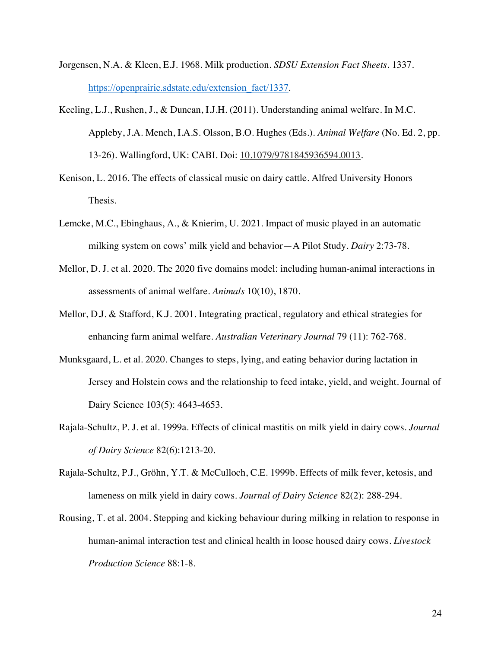- Jorgensen, N.A. & Kleen, E.J. 1968. Milk production. *SDSU Extension Fact Sheets*. 1337. https://openprairie.sdstate.edu/extension\_fact/1337.
- Keeling, L.J., Rushen, J., & Duncan, I.J.H. (2011). Understanding animal welfare. In M.C. Appleby, J.A. Mench, I.A.S. Olsson, B.O. Hughes (Eds.). *Animal Welfare* (No. Ed. 2, pp. 13-26). Wallingford, UK: CABI. Doi: 10.1079/9781845936594.0013.
- Kenison, L. 2016. The effects of classical music on dairy cattle*.* Alfred University Honors Thesis.
- Lemcke, M.C., Ebinghaus, A., & Knierim, U. 2021. Impact of music played in an automatic milking system on cows' milk yield and behavior—A Pilot Study. *Dairy* 2:73-78.
- Mellor, D. J. et al. 2020. The 2020 five domains model: including human-animal interactions in assessments of animal welfare. *Animals* 10(10), 1870.
- Mellor, D.J. & Stafford, K.J. 2001. Integrating practical, regulatory and ethical strategies for enhancing farm animal welfare. *Australian Veterinary Journal* 79 (11): 762-768.
- Munksgaard, L. et al. 2020. Changes to steps, lying, and eating behavior during lactation in Jersey and Holstein cows and the relationship to feed intake, yield, and weight. Journal of Dairy Science 103(5): 4643-4653.
- Rajala-Schultz, P. J. et al. 1999a. Effects of clinical mastitis on milk yield in dairy cows. *Journal of Dairy Science* 82(6):1213-20.
- Rajala-Schultz, P.J., Gröhn, Y.T. & McCulloch, C.E. 1999b. Effects of milk fever, ketosis, and lameness on milk yield in dairy cows. *Journal of Dairy Science* 82(2): 288-294.
- Rousing, T. et al. 2004. Stepping and kicking behaviour during milking in relation to response in human-animal interaction test and clinical health in loose housed dairy cows. *Livestock Production Science* 88:1-8.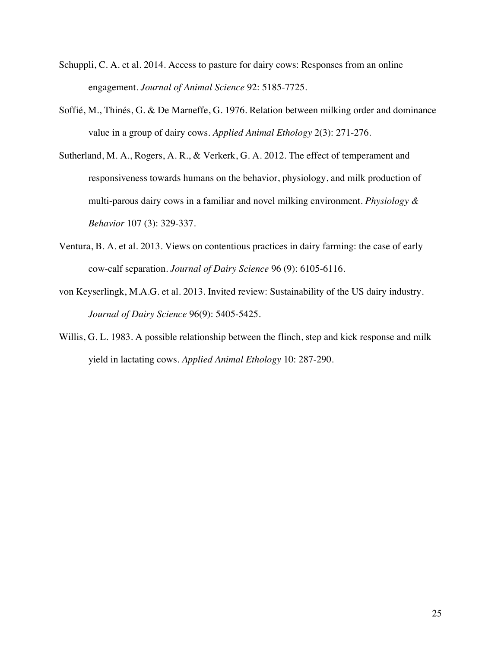- Schuppli, C. A. et al. 2014. Access to pasture for dairy cows: Responses from an online engagement. *Journal of Animal Science* 92: 5185-7725.
- Soffié, M., Thinés, G. & De Marneffe, G. 1976. Relation between milking order and dominance value in a group of dairy cows. *Applied Animal Ethology* 2(3): 271-276.
- Sutherland, M. A., Rogers, A. R., & Verkerk, G. A. 2012. The effect of temperament and responsiveness towards humans on the behavior, physiology, and milk production of multi-parous dairy cows in a familiar and novel milking environment. *Physiology & Behavior* 107 (3): 329-337.
- Ventura, B. A. et al. 2013. Views on contentious practices in dairy farming: the case of early cow-calf separation. *Journal of Dairy Science* 96 (9): 6105-6116.
- von Keyserlingk, M.A.G. et al. 2013. Invited review: Sustainability of the US dairy industry. *Journal of Dairy Science* 96(9): 5405-5425.
- Willis, G. L. 1983. A possible relationship between the flinch, step and kick response and milk yield in lactating cows. *Applied Animal Ethology* 10: 287-290.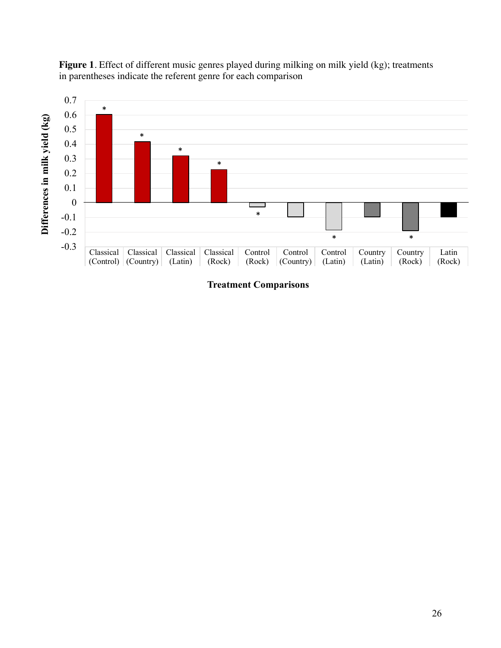

**Figure 1**. Effect of different music genres played during milking on milk yield (kg); treatments in parentheses indicate the referent genre for each comparison

**Treatment Comparisons**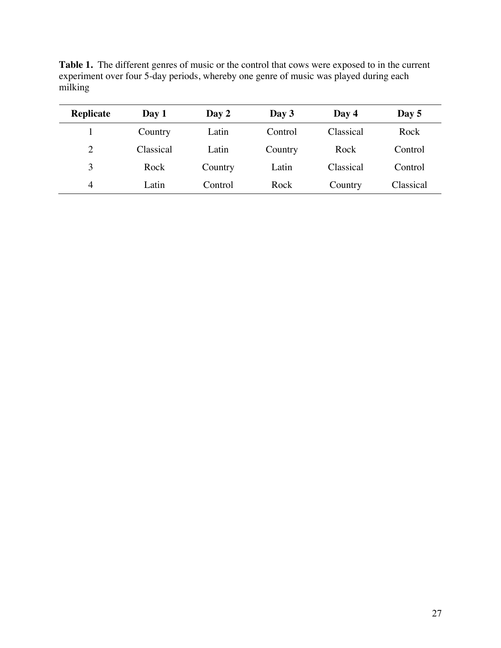| Replicate      | Day 1     | Day 2   | Day 3   | Day 4     | Day $5$   |
|----------------|-----------|---------|---------|-----------|-----------|
|                | Country   | Latin   | Control | Classical | Rock      |
| $\overline{2}$ | Classical | Latin   | Country | Rock      | Control   |
| 3              | Rock      | Country | Latin   | Classical | Control   |
| $\overline{4}$ | Latin     | Control | Rock    | Country   | Classical |

**Table 1.** The different genres of music or the control that cows were exposed to in the current experiment over four 5-day periods, whereby one genre of music was played during each milking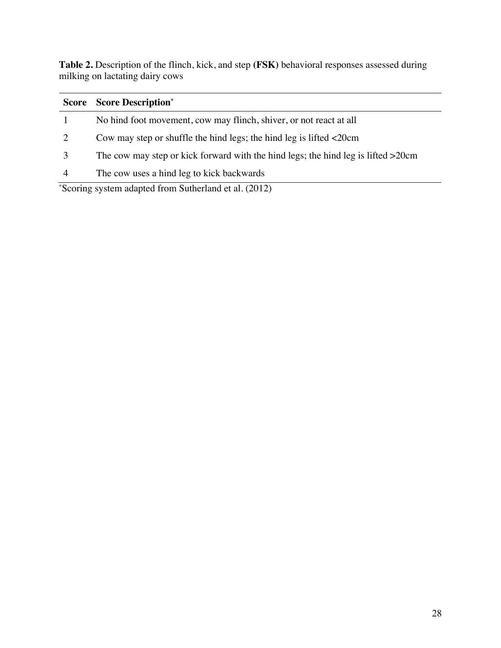**Table 2.** Description of the flinch, kick, and step **(FSK)** behavioral responses assessed during milking on lactating dairy cows

|   | <b>Score Score Description*</b>                                                   |
|---|-----------------------------------------------------------------------------------|
|   | No hind foot movement, cow may flinch, shiver, or not react at all                |
| 2 | Cow may step or shuffle the hind legs; the hind leg is lifted $\leq 20$ cm        |
|   | The cow may step or kick forward with the hind legs; the hind leg is lifted >20cm |
| 4 | The cow uses a hind leg to kick backwards                                         |

\* Scoring system adapted from Sutherland et al. (2012)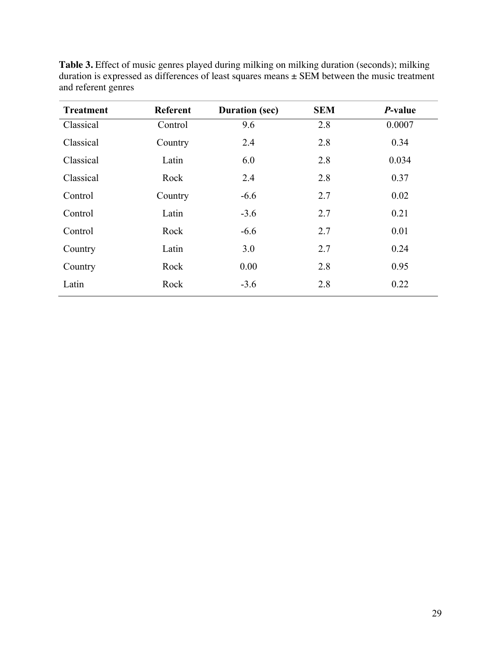| <b>Treatment</b> | <b>Referent</b> | <b>Duration (sec)</b> | <b>SEM</b> | $P$ -value |
|------------------|-----------------|-----------------------|------------|------------|
| Classical        | Control         | 9.6                   | 2.8        | 0.0007     |
| Classical        | Country         | 2.4                   | 2.8        | 0.34       |
| Classical        | Latin           | 6.0                   | 2.8        | 0.034      |
| Classical        | Rock            | 2.4                   | 2.8        | 0.37       |
| Control          | Country         | $-6.6$                | 2.7        | 0.02       |
| Control          | Latin           | $-3.6$                | 2.7        | 0.21       |
| Control          | Rock            | $-6.6$                | 2.7        | 0.01       |
| Country          | Latin           | 3.0                   | 2.7        | 0.24       |
| Country          | Rock            | 0.00                  | 2.8        | 0.95       |
| Latin            | Rock            | $-3.6$                | 2.8        | 0.22       |

**Table 3.** Effect of music genres played during milking on milking duration (seconds); milking duration is expressed as differences of least squares means ± SEM between the music treatment and referent genres